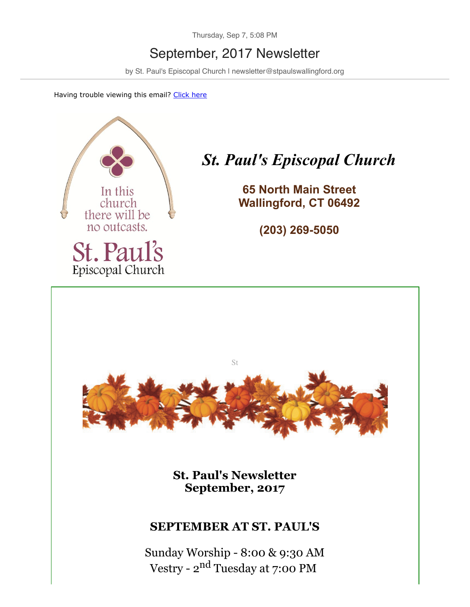Thursday, Sep 7, 5:08 PM

# September, 2017 Newsletter

by St. Paul's Episcopal Church I newsletter@stpaulswallingford.org

Having trouble viewing this email? [Click here](http://campaign.r20.constantcontact.com/render?m=1104450241966&ca=9ac3f87a-81a1-4565-934e-64158bbd61a3)



# *St. Paul's Episcopal Church*

**65 North Main Street Wallingford, CT 06492**

**(203) 269-5050**



**St. Paul's Newsletter September, 2017**

#### **SEPTEMBER AT ST. PAUL'S**

Sunday Worship - 8:00 & 9:30 AM Vestry - 2nd Tuesday at 7:00 PM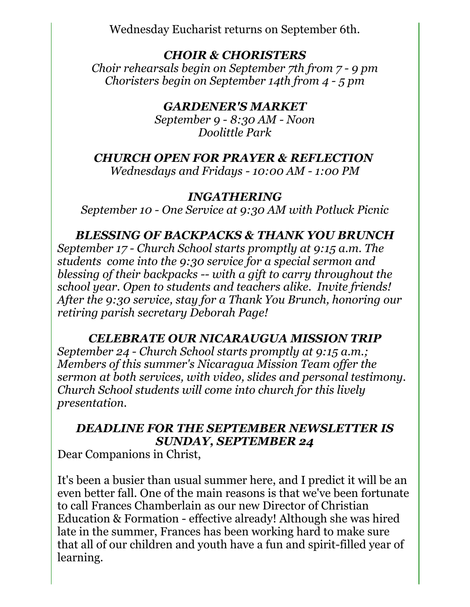Wednesday Eucharist returns on September 6th.

## *CHOIR & CHORISTERS*

*Choir rehearsals begin on September 7th from 7 - 9 pm Choristers begin on September 14th from 4 - 5 pm*

## *GARDENER'S MARKET*

*September 9 - 8:30 AM - Noon Doolittle Park*

#### *CHURCH OPEN FOR PRAYER & REFLECTION*

*Wednesdays and Fridays - 10:00 AM - 1:00 PM*

## *INGATHERING*

*September 10 - One Service at 9:30 AM with Potluck Picnic*

#### *BLESSING OF BACKPACKS & THANK YOU BRUNCH*

*September 17 - Church School starts promptly at 9:15 a.m. The students come into the 9:30 service for a special sermon and blessing of their backpacks -- with a gift to carry throughout the school year. Open to students and teachers alike. Invite friends! After the 9:30 service, stay for a Thank You Brunch, honoring our retiring parish secretary Deborah Page!*

#### *CELEBRATE OUR NICARAUGUA MISSION TRIP*

*September 24 - Church School starts promptly at 9:15 a.m.; Members of this summer's Nicaragua Mission Team offer the sermon at both services, with video, slides and personal testimony. Church School students will come into church for this lively presentation.*

# *DEADLINE FOR THE SEPTEMBER NEWSLETTER IS SUNDAY, SEPTEMBER 24*

Dear Companions in Christ,

It's been a busier than usual summer here, and I predict it will be an even better fall. One of the main reasons is that we've been fortunate to call Frances Chamberlain as our new Director of Christian Education & Formation - effective already! Although she was hired late in the summer, Frances has been working hard to make sure that all of our children and youth have a fun and spirit-filled year of learning.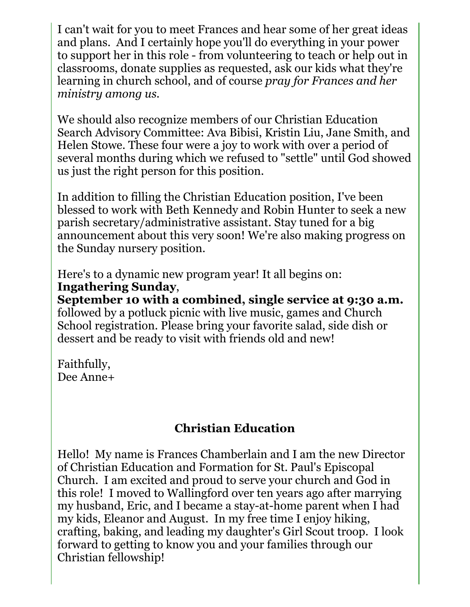I can't wait for you to meet Frances and hear some of her great ideas and plans. And I certainly hope you'll do everything in your power to support her in this role - from volunteering to teach or help out in classrooms, donate supplies as requested, ask our kids what they're learning in church school, and of course *pray for Frances and her ministry among us.* 

We should also recognize members of our Christian Education Search Advisory Committee: Ava Bibisi, Kristin Liu, Jane Smith, and Helen Stowe. These four were a joy to work with over a period of several months during which we refused to "settle" until God showed us just the right person for this position.

In addition to filling the Christian Education position, I've been blessed to work with Beth Kennedy and Robin Hunter to seek a new parish secretary/administrative assistant. Stay tuned for a big announcement about this very soon! We're also making progress on the Sunday nursery position.

Here's to a dynamic new program year! It all begins on: **Ingathering Sunday**,

**September 10 with a combined, single service at 9:30 a.m.** followed by a potluck picnic with live music, games and Church School registration. Please bring your favorite salad, side dish or dessert and be ready to visit with friends old and new!

Faithfully, Dee Anne+

# **Christian Education**

Hello! My name is Frances Chamberlain and I am the new Director of Christian Education and Formation for St. Paul's Episcopal Church. I am excited and proud to serve your church and God in this role! I moved to Wallingford over ten years ago after marrying my husband, Eric, and I became a stay-at-home parent when I had my kids, Eleanor and August. In my free time I enjoy hiking, crafting, baking, and leading my daughter's Girl Scout troop. I look forward to getting to know you and your families through our Christian fellowship!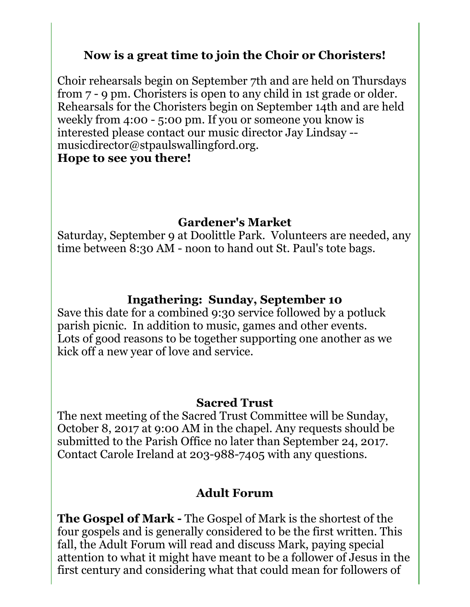# **Now is a great time to join the Choir or Choristers!**

Choir rehearsals begin on September 7th and are held on Thursdays from 7 - 9 pm. Choristers is open to any child in 1st grade or older. Rehearsals for the Choristers begin on September 14th and are held weekly from 4:00 - 5:00 pm. If you or someone you know is interested please contact our music director Jay Lindsay - musicdirector@stpaulswallingford.org. **Hope to see you there!**

## **Gardener's Market**

Saturday, September 9 at Doolittle Park. Volunteers are needed, any time between 8:30 AM - noon to hand out St. Paul's tote bags.

## **Ingathering: Sunday, September 10**

Save this date for a combined 9:30 service followed by a potluck parish picnic. In addition to music, games and other events. Lots of good reasons to be together supporting one another as we kick off a new year of love and service.

#### **Sacred Trust**

The next meeting of the Sacred Trust Committee will be Sunday, October 8, 2017 at 9:00 AM in the chapel. Any requests should be submitted to the Parish Office no later than September 24, 2017. Contact Carole Ireland at 203-988-7405 with any questions.

#### **Adult Forum**

**The Gospel of Mark -** The Gospel of Mark is the shortest of the four gospels and is generally considered to be the first written. This fall, the Adult Forum will read and discuss Mark, paying special attention to what it might have meant to be a follower of Jesus in the first century and considering what that could mean for followers of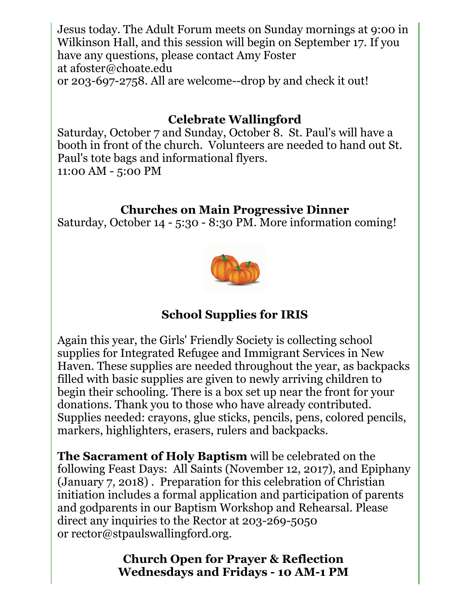Jesus today. The Adult Forum meets on Sunday mornings at 9:00 in Wilkinson Hall, and this session will begin on September 17. If you have any questions, please contact Amy Foster at afoster@choate.edu or 203-697-2758. All are welcome--drop by and check it out!

# **Celebrate Wallingford**

Saturday, October 7 and Sunday, October 8. St. Paul's will have a booth in front of the church. Volunteers are needed to hand out St. Paul's tote bags and informational flyers.

11:00 AM - 5:00 PM

# **Churches on Main Progressive Dinner**

Saturday, October 14 - 5:30 - 8:30 PM. More information coming!



# **School Supplies for IRIS**

Again this year, the Girls' Friendly Society is collecting school supplies for Integrated Refugee and Immigrant Services in New Haven. These supplies are needed throughout the year, as backpacks filled with basic supplies are given to newly arriving children to begin their schooling. There is a box set up near the front for your donations. Thank you to those who have already contributed. Supplies needed: crayons, glue sticks, pencils, pens, colored pencils, markers, highlighters, erasers, rulers and backpacks.

**The Sacrament of Holy Baptism** will be celebrated on the following Feast Days: All Saints (November 12, 2017), and Epiphany (January 7, 2018) . Preparation for this celebration of Christian initiation includes a formal application and participation of parents and godparents in our Baptism Workshop and Rehearsal. Please direct any inquiries to the Rector at 203-269-5050 or rector@stpaulswallingford.org.

> **Church Open for Prayer & Reflection Wednesdays and Fridays - 10 AM-1 PM**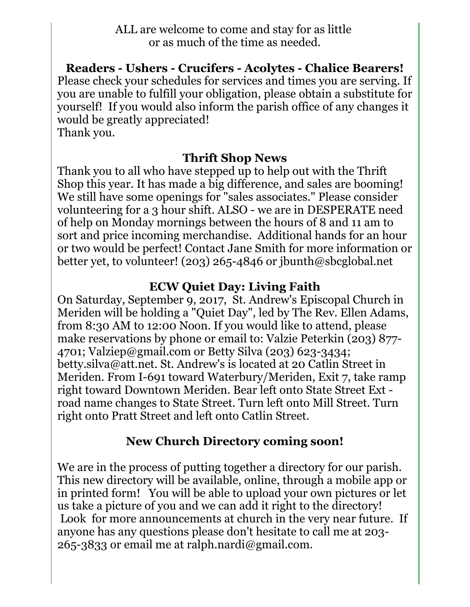ALL are welcome to come and stay for as little or as much of the time as needed.

**Readers - Ushers - Crucifers - Acolytes - Chalice Bearers!** Please check your schedules for services and times you are serving. If you are unable to fulfill your obligation, please obtain a substitute for yourself! If you would also inform the parish office of any changes it would be greatly appreciated! Thank you.

#### **Thrift Shop News**

Thank you to all who have stepped up to help out with the Thrift Shop this year. It has made a big difference, and sales are booming! We still have some openings for "sales associates." Please consider volunteering for a 3 hour shift. ALSO - we are in DESPERATE need of help on Monday mornings between the hours of 8 and 11 am to sort and price incoming merchandise. Additional hands for an hour or two would be perfect! Contact Jane Smith for more information or better yet, to volunteer! (203) 265-4846 or jbunth@sbcglobal.net

#### **ECW Quiet Day: Living Faith**

On Saturday, September 9, 2017, St. Andrew's Episcopal Church in Meriden will be holding a "Quiet Day", led by The Rev. Ellen Adams, from 8:30 AM to 12:00 Noon. If you would like to attend, please make reservations by phone or email to: Valzie Peterkin (203) 877- 4701; Valziep@gmail.com or Betty Silva (203) 623-3434; betty.silva@att.net. St. Andrew's is located at 20 Catlin Street in Meriden. From I-691 toward Waterbury/Meriden, Exit 7, take ramp right toward Downtown Meriden. Bear left onto State Street Ext road name changes to State Street. Turn left onto Mill Street. Turn right onto Pratt Street and left onto Catlin Street.

# **New Church Directory coming soon!**

We are in the process of putting together a directory for our parish. This new directory will be available, online, through a mobile app or in printed form! You will be able to upload your own pictures or let us take a picture of you and we can add it right to the directory! Look for more announcements at church in the very near future. If anyone has any questions please don't hesitate to call me at 203- 265-3833 or email me at ralph.nardi@gmail.com.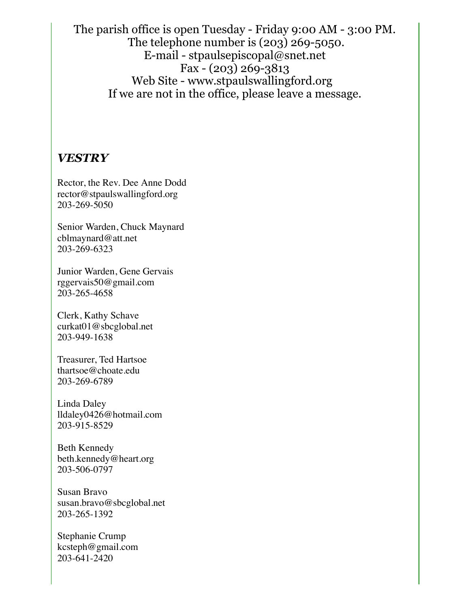The parish office is open Tuesday - Friday 9:00 AM - 3:00 PM. The telephone number is (203) 269-5050. E-mail - stpaulsepiscopal@snet.net Fax - (203) 269-3813 Web Site - www.stpaulswallingford.org If we are not in the office, please leave a message.

#### *VESTRY*

Rector, the Rev. Dee Anne Dodd rector@stpaulswallingford.org 203-269-5050

Senior Warden, Chuck Maynard cblmaynard@att.net 203-269-6323

Junior Warden, Gene Gervais rggervais50@gmail.com 203-265-4658

Clerk, Kathy Schave curkat01@sbcglobal.net 203-949-1638

Treasurer, Ted Hartsoe thartsoe@choate.edu 203-269-6789

Linda Daley lldaley0426@hotmail.com 203-915-8529

Beth Kennedy beth.kennedy@heart.org 203-506-0797

Susan Bravo susan.bravo@sbcglobal.net 203-265-1392

Stephanie Crump kcsteph@gmail.com 203-641-2420